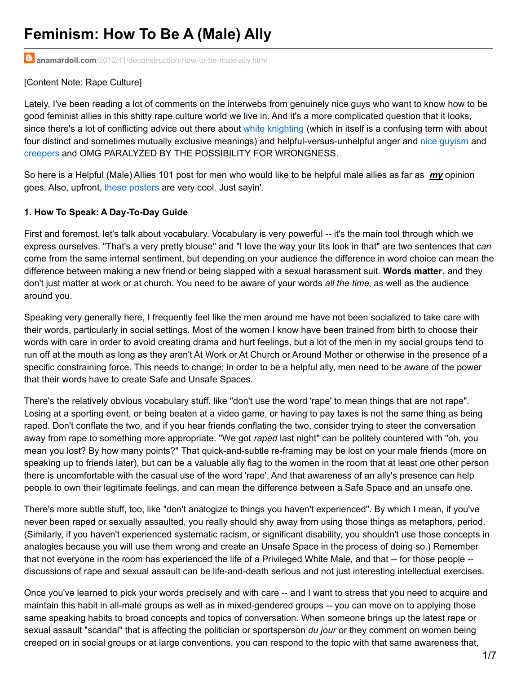# **Feminism: How To Be A (Male) Ally**

**anamardoll.com**[/2012/11/deconstruction-how-to-be-male-ally.html](http://www.anamardoll.com/2012/11/deconstruction-how-to-be-male-ally.html)

### [Content Note: Rape Culture]

Lately, I've been reading a lot of comments on the interwebs from genuinely nice guys who want to know how to be good feminist allies in this shitty rape culture world we live in. And it's a more complicated question that it looks, since there's a lot of conflicting advice out there about white [knighting](http://geekfeminism.wikia.com/wiki/White_Knighting) (which in itself is a confusing term with about four distinct and sometimes mutually exclusive meanings) and helpful-versus-unhelpful anger and nice [guyism](http://www.shakesville.com/2007/12/explainer-what-is-nice-guy.html) and [creepers](http://captainawkward.com/2012/08/07/322-323-my-friend-group-has-a-case-of-the-creepy-dude-how-do-we-clear-that-up/) and OMG PARALYZED BY THE POSSIBILITY FOR WRONGNESS.

So here is a Helpful (Male) Allies 101 post for men who would like to be helpful male allies as far as *my* opinion goes. Also, upfront, these [posters](https://www.google.com/search?q=mencanstoprape+posters&oe=utf-8&aq=t&rls=org.mozilla:en-US:official&client=firefox-a&um=1&ie=UTF-8&hl=en&tbm=isch&source=og&sa=N&tab=wi&ei=ilClUMmAL4W42QWCvIGQCg&biw=1135&bih=773&sei=jlClUPvaCoikyQH_soDIDw) are very cool. Just sayin'.

### **1. How To Speak: A Day-To-Day Guide**

First and foremost, let's talk about vocabulary. Vocabulary is very powerful -- it's the main tool through which we express ourselves. "That's a very pretty blouse" and "I love the way your tits look in that" are two sentences that *can* come from the same internal sentiment, but depending on your audience the difference in word choice can mean the difference between making a new friend or being slapped with a sexual harassment suit. **Words matter**, and they don't just matter at work or at church. You need to be aware of your words *all the time*, as well as the audience around you.

Speaking very generally here, I frequently feel like the men around me have not been socialized to take care with their words, particularly in social settings. Most of the women I know have been trained from birth to choose their words with care in order to avoid creating drama and hurt feelings, but a lot of the men in my social groups tend to run off at the mouth as long as they aren't At Work or At Church or Around Mother or otherwise in the presence of a specific constraining force. This needs to change; in order to be a helpful ally, men need to be aware of the power that their words have to create Safe and Unsafe Spaces.

There's the relatively obvious vocabulary stuff, like "don't use the word 'rape' to mean things that are not rape". Losing at a sporting event, or being beaten at a video game, or having to pay taxes is not the same thing as being raped. Don't conflate the two, and if you hear friends conflating the two, consider trying to steer the conversation away from rape to something more appropriate. "We got *raped* last night" can be politely countered with "oh, you mean you lost? By how many points?" That quick-and-subtle re-framing may be lost on your male friends (more on speaking up to friends later), but can be a valuable ally flag to the women in the room that at least one other person there is uncomfortable with the casual use of the word 'rape'. And that awareness of an ally's presence can help people to own their legitimate feelings, and can mean the difference between a Safe Space and an unsafe one.

There's more subtle stuff, too, like "don't analogize to things you haven't experienced". By which I mean, if you've never been raped or sexually assaulted, you really should shy away from using those things as metaphors, period. (Similarly, if you haven't experienced systematic racism, or significant disability, you shouldn't use those concepts in analogies because you will use them wrong and create an Unsafe Space in the process of doing so.) Remember that not everyone in the room has experienced the life of a Privileged White Male, and that -- for those people - discussions of rape and sexual assault can be life-and-death serious and not just interesting intellectual exercises.

Once you've learned to pick your words precisely and with care -- and I want to stress that you need to acquire and maintain this habit in all-male groups as well as in mixed-gendered groups -- you can move on to applying those same speaking habits to broad concepts and topics of conversation. When someone brings up the latest rape or sexual assault "scandal" that is affecting the politician or sportsperson *du jour* or they comment on women being creeped on in social groups or at large conventions, you can respond to the topic with that same awareness that,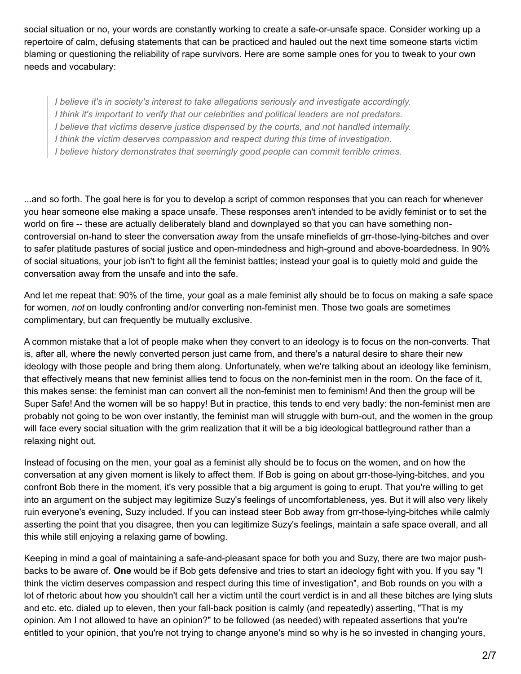social situation or no, your words are constantly working to create a safe-or-unsafe space. Consider working up a repertoire of calm, defusing statements that can be practiced and hauled out the next time someone starts victim blaming or questioning the reliability of rape survivors. Here are some sample ones for you to tweak to your own needs and vocabulary:

*I believe it's in society's interest to take allegations seriously and investigate accordingly. I think it's important to verify that our celebrities and political leaders are not predators. I believe that victims deserve justice dispensed by the courts, and not handled internally. I think the victim deserves compassion and respect during this time of investigation. I believe history demonstrates that seemingly good people can commit terrible crimes.*

...and so forth. The goal here is for you to develop a script of common responses that you can reach for whenever you hear someone else making a space unsafe. These responses aren't intended to be avidly feminist or to set the world on fire -- these are actually deliberately bland and downplayed so that you can have something noncontroversial on-hand to steer the conversation *away* from the unsafe minefields of grr-those-lying-bitches and over to safer platitude pastures of social justice and open-mindedness and high-ground and above-boardedness. In 90% of social situations, your job isn't to fight all the feminist battles; instead your goal is to quietly mold and guide the conversation away from the unsafe and into the safe.

And let me repeat that: 90% of the time, your goal as a male feminist ally should be to focus on making a safe space for women, *not* on loudly confronting and/or converting non-feminist men. Those two goals are sometimes complimentary, but can frequently be mutually exclusive.

A common mistake that a lot of people make when they convert to an ideology is to focus on the non-converts. That is, after all, where the newly converted person just came from, and there's a natural desire to share their new ideology with those people and bring them along. Unfortunately, when we're talking about an ideology like feminism, that effectively means that new feminist allies tend to focus on the non-feminist men in the room. On the face of it, this makes sense: the feminist man can convert all the non-feminist men to feminism! And then the group will be Super Safe! And the women will be so happy! But in practice, this tends to end very badly: the non-feminist men are probably not going to be won over instantly, the feminist man will struggle with burn-out, and the women in the group will face every social situation with the grim realization that it will be a big ideological battleground rather than a relaxing night out.

Instead of focusing on the men, your goal as a feminist ally should be to focus on the women, and on how the conversation at any given moment is likely to affect them. If Bob is going on about grr-those-lying-bitches, and you confront Bob there in the moment, it's very possible that a big argument is going to erupt. That you're willing to get into an argument on the subject may legitimize Suzy's feelings of uncomfortableness, yes. But it will also very likely ruin everyone's evening, Suzy included. If you can instead steer Bob away from grr-those-lying-bitches while calmly asserting the point that you disagree, then you can legitimize Suzy's feelings, maintain a safe space overall, and all this while still enjoying a relaxing game of bowling.

Keeping in mind a goal of maintaining a safe-and-pleasant space for both you and Suzy, there are two major pushbacks to be aware of. **One** would be if Bob gets defensive and tries to start an ideology fight with you. If you say "I think the victim deserves compassion and respect during this time of investigation", and Bob rounds on you with a lot of rhetoric about how you shouldn't call her a victim until the court verdict is in and all these bitches are lying sluts and etc. etc. dialed up to eleven, then your fall-back position is calmly (and repeatedly) asserting, "That is my opinion. Am I not allowed to have an opinion?" to be followed (as needed) with repeated assertions that you're entitled to your opinion, that you're not trying to change anyone's mind so why is he so invested in changing yours,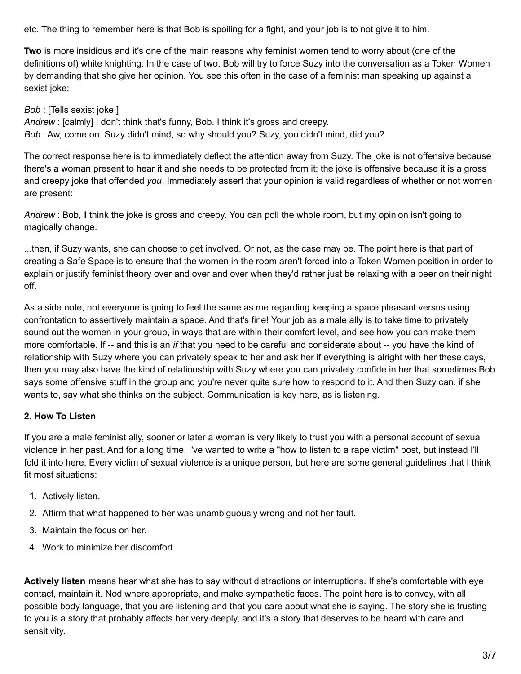etc. The thing to remember here is that Bob is spoiling for a fight, and your job is to not give it to him.

**Two** is more insidious and it's one of the main reasons why feminist women tend to worry about (one of the definitions of) white knighting. In the case of two, Bob will try to force Suzy into the conversation as a Token Women by demanding that she give her opinion. You see this often in the case of a feminist man speaking up against a sexist joke:

*Bob* : [Tells sexist joke.]

*Andrew* : [calmly] I don't think that's funny, Bob. I think it's gross and creepy. *Bob* : Aw, come on. Suzy didn't mind, so why should you? Suzy, you didn't mind, did you?

The correct response here is to immediately deflect the attention away from Suzy. The joke is not offensive because there's a woman present to hear it and she needs to be protected from it; the joke is offensive because it is a gross and creepy joke that offended *you*. Immediately assert that your opinion is valid regardless of whether or not women are present:

*Andrew* : Bob, **I** think the joke is gross and creepy. You can poll the whole room, but my opinion isn't going to magically change.

...then, if Suzy wants, she can choose to get involved. Or not, as the case may be. The point here is that part of creating a Safe Space is to ensure that the women in the room aren't forced into a Token Women position in order to explain or justify feminist theory over and over and over when they'd rather just be relaxing with a beer on their night off.

As a side note, not everyone is going to feel the same as me regarding keeping a space pleasant versus using confrontation to assertively maintain a space. And that's fine! Your job as a male ally is to take time to privately sound out the women in your group, in ways that are within their comfort level, and see how you can make them more comfortable. If -- and this is an *if* that you need to be careful and considerate about -- you have the kind of relationship with Suzy where you can privately speak to her and ask her if everything is alright with her these days, then you may also have the kind of relationship with Suzy where you can privately confide in her that sometimes Bob says some offensive stuff in the group and you're never quite sure how to respond to it. And then Suzy can, if she wants to, say what she thinks on the subject. Communication is key here, as is listening.

# **2. How To Listen**

If you are a male feminist ally, sooner or later a woman is very likely to trust you with a personal account of sexual violence in her past. And for a long time, I've wanted to write a "how to listen to a rape victim" post, but instead I'll fold it into here. Every victim of sexual violence is a unique person, but here are some general guidelines that I think fit most situations:

- 1. Actively listen.
- 2. Affirm that what happened to her was unambiguously wrong and not her fault.
- 3. Maintain the focus on her.
- 4. Work to minimize her discomfort.

**Actively listen** means hear what she has to say without distractions or interruptions. If she's comfortable with eye contact, maintain it. Nod where appropriate, and make sympathetic faces. The point here is to convey, with all possible body language, that you are listening and that you care about what she is saying. The story she is trusting to you is a story that probably affects her very deeply, and it's a story that deserves to be heard with care and sensitivity.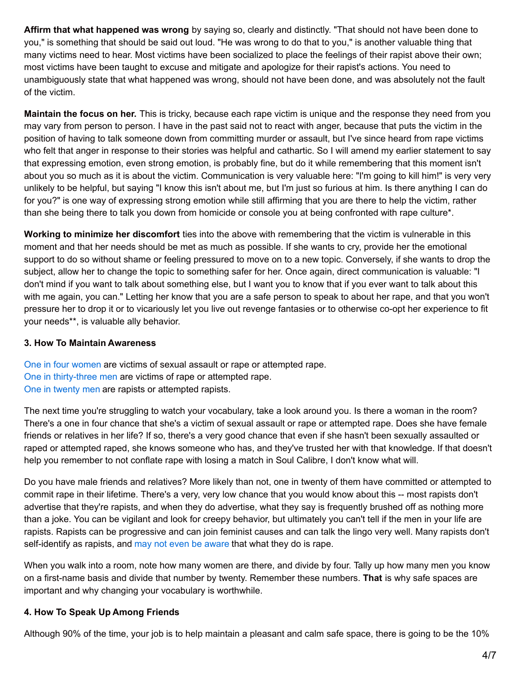**Affirm that what happened was wrong** by saying so, clearly and distinctly. "That should not have been done to you," is something that should be said out loud. "He was wrong to do that to you," is another valuable thing that many victims need to hear. Most victims have been socialized to place the feelings of their rapist above their own; most victims have been taught to excuse and mitigate and apologize for their rapist's actions. You need to unambiguously state that what happened was wrong, should not have been done, and was absolutely not the fault of the victim.

**Maintain the focus on her.** This is tricky, because each rape victim is unique and the response they need from you may vary from person to person. I have in the past said not to react with anger, because that puts the victim in the position of having to talk someone down from committing murder or assault, but I've since heard from rape victims who felt that anger in response to their stories was helpful and cathartic. So I will amend my earlier statement to say that expressing emotion, even strong emotion, is probably fine, but do it while remembering that this moment isn't about you so much as it is about the victim. Communication is very valuable here: "I'm going to kill him!" is very very unlikely to be helpful, but saying "I know this isn't about me, but I'm just so furious at him. Is there anything I can do for you?" is one way of expressing strong emotion while still affirming that you are there to help the victim, rather than she being there to talk you down from homicide or console you at being confronted with rape culture\*.

**Working to minimize her discomfort** ties into the above with remembering that the victim is vulnerable in this moment and that her needs should be met as much as possible. If she wants to cry, provide her the emotional support to do so without shame or feeling pressured to move on to a new topic. Conversely, if she wants to drop the subject, allow her to change the topic to something safer for her. Once again, direct communication is valuable: "I don't mind if you want to talk about something else, but I want you to know that if you ever want to talk about this with me again, you can." Letting her know that you are a safe person to speak to about her rape, and that you won't pressure her to drop it or to vicariously let you live out revenge fantasies or to otherwise co-opt her experience to fit your needs\*\*, is valuable ally behavior.

## **3. How To Maintain Awareness**

One in four [women](http://www.oneinfourusa.org/statistics.php) are victims of sexual assault or rape or attempted rape. One in [thirty-three](http://www.rainn.org/get-information/statistics/sexual-assault-victims) men are victims of rape or attempted rape. One in [twenty](http://www.washingtoncitypaper.com/blogs/sexist/2009/11/12/rapists-who-dont-think-theyre-rapists/) men are rapists or attempted rapists.

The next time you're struggling to watch your vocabulary, take a look around you. Is there a woman in the room? There's a one in four chance that she's a victim of sexual assault or rape or attempted rape. Does she have female friends or relatives in her life? If so, there's a very good chance that even if she hasn't been sexually assaulted or raped or attempted raped, she knows someone who has, and they've trusted her with that knowledge. If that doesn't help you remember to not conflate rape with losing a match in Soul Calibre, I don't know what will.

Do you have male friends and relatives? More likely than not, one in twenty of them have committed or attempted to commit rape in their lifetime. There's a very, very low chance that you would know about this -- most rapists don't advertise that they're rapists, and when they do advertise, what they say is frequently brushed off as nothing more than a joke. You can be vigilant and look for creepy behavior, but ultimately you can't tell if the men in your life are rapists. Rapists can be progressive and can join feminist causes and can talk the lingo very well. Many rapists don't self-identify as rapists, and may not even be [aware](http://www.anamardoll.com/2012/08/deconstruction-legitimate-rapes.html) that what they do is rape.

When you walk into a room, note how many women are there, and divide by four. Tally up how many men you know on a first-name basis and divide that number by twenty. Remember these numbers. **That** is why safe spaces are important and why changing your vocabulary is worthwhile.

# **4. How To Speak Up Among Friends**

Although 90% of the time, your job is to help maintain a pleasant and calm safe space, there is going to be the 10%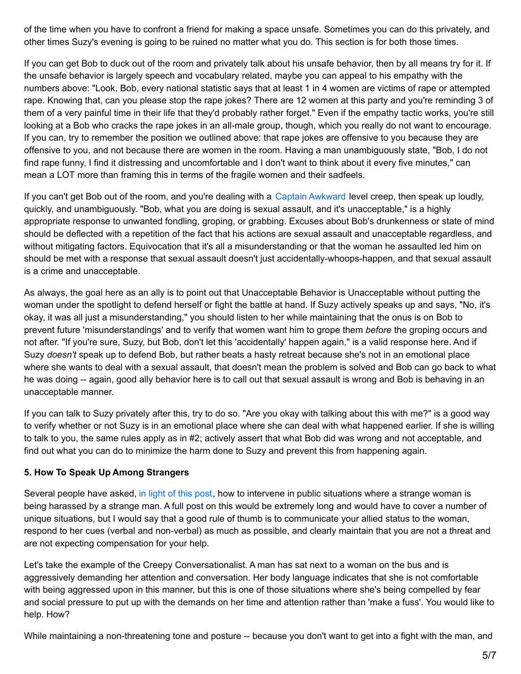of the time when you have to confront a friend for making a space unsafe. Sometimes you can do this privately, and other times Suzy's evening is going to be ruined no matter what you do. This section is for both those times.

If you can get Bob to duck out of the room and privately talk about his unsafe behavior, then by all means try for it. If the unsafe behavior is largely speech and vocabulary related, maybe you can appeal to his empathy with the numbers above: "Look, Bob, every national statistic says that at least 1 in 4 women are victims of rape or attempted rape. Knowing that, can you please stop the rape jokes? There are 12 women at this party and you're reminding 3 of them of a very painful time in their life that they'd probably rather forget." Even if the empathy tactic works, you're still looking at a Bob who cracks the rape jokes in an all-male group, though, which you really do not want to encourage. If you can, try to remember the position we outlined above: that rape jokes are offensive to you because they are offensive to you, and not because there are women in the room. Having a man unambiguously state, "Bob, I do not find rape funny, I find it distressing and uncomfortable and I don't want to think about it every five minutes," can mean a LOT more than framing this in terms of the fragile women and their sadfeels.

If you can't get Bob out of the room, and you're dealing with a Captain [Awkward](http://captainawkward.com/2012/08/07/322-323-my-friend-group-has-a-case-of-the-creepy-dude-how-do-we-clear-that-up/) level creep, then speak up loudly, quickly, and unambiguously. "Bob, what you are doing is sexual assault, and it's unacceptable," is a highly appropriate response to unwanted fondling, groping, or grabbing. Excuses about Bob's drunkenness or state of mind should be deflected with a repetition of the fact that his actions are sexual assault and unacceptable regardless, and without mitigating factors. Equivocation that it's all a misunderstanding or that the woman he assaulted led him on should be met with a response that sexual assault doesn't just accidentally-whoops-happen, and that sexual assault is a crime and unacceptable.

As always, the goal here as an ally is to point out that Unacceptable Behavior is Unacceptable without putting the woman under the spotlight to defend herself or fight the battle at hand. If Suzy actively speaks up and says, "No, it's okay, it was all just a misunderstanding," you should listen to her while maintaining that the onus is on Bob to prevent future 'misunderstandings' and to verify that women want him to grope them *before* the groping occurs and not after. "If you're sure, Suzy, but Bob, don't let this 'accidentally' happen again," is a valid response here. And if Suzy *doesn't* speak up to defend Bob, but rather beats a hasty retreat because she's not in an emotional place where she wants to deal with a sexual assault, that doesn't mean the problem is solved and Bob can go back to what he was doing -- again, good ally behavior here is to call out that sexual assault is wrong and Bob is behaving in an unacceptable manner.

If you can talk to Suzy privately after this, try to do so. "Are you okay with talking about this with me?" is a good way to verify whether or not Suzy is in an emotional place where she can deal with what happened earlier. If she is willing to talk to you, the same rules apply as in #2; actively assert that what Bob did was wrong and not acceptable, and find out what you can do to minimize the harm done to Suzy and prevent this from happening again.

# **5. How To Speak Up Among Strangers**

Several people have asked, in light of this [post](http://www.anamardoll.com/2012/09/recommends-captain-awkward-on-creepy.html), how to intervene in public situations where a strange woman is being harassed by a strange man. A full post on this would be extremely long and would have to cover a number of unique situations, but I would say that a good rule of thumb is to communicate your allied status to the woman, respond to her cues (verbal and non-verbal) as much as possible, and clearly maintain that you are not a threat and are not expecting compensation for your help.

Let's take the example of the Creepy Conversationalist. A man has sat next to a woman on the bus and is aggressively demanding her attention and conversation. Her body language indicates that she is not comfortable with being aggressed upon in this manner, but this is one of those situations where she's being compelled by fear and social pressure to put up with the demands on her time and attention rather than 'make a fuss'. You would like to help. How?

While maintaining a non-threatening tone and posture -- because you don't want to get into a fight with the man, and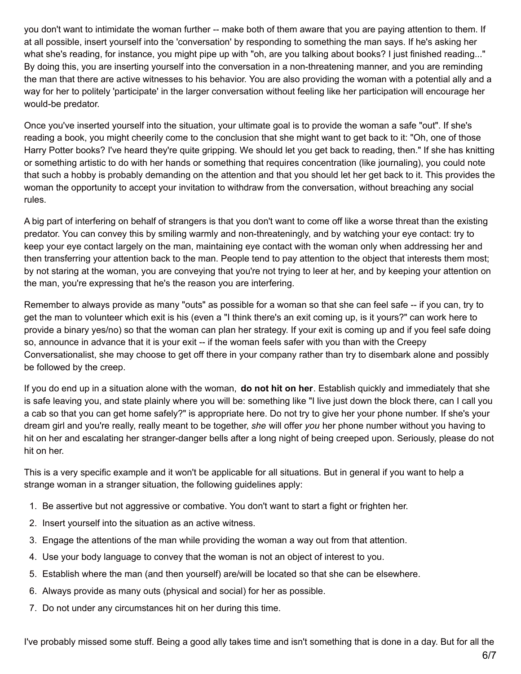you don't want to intimidate the woman further -- make both of them aware that you are paying attention to them. If at all possible, insert yourself into the 'conversation' by responding to something the man says. If he's asking her what she's reading, for instance, you might pipe up with "oh, are you talking about books? I just finished reading..." By doing this, you are inserting yourself into the conversation in a non-threatening manner, and you are reminding the man that there are active witnesses to his behavior. You are also providing the woman with a potential ally and a way for her to politely 'participate' in the larger conversation without feeling like her participation will encourage her would-be predator.

Once you've inserted yourself into the situation, your ultimate goal is to provide the woman a safe "out". If she's reading a book, you might cheerily come to the conclusion that she might want to get back to it: "Oh, one of those Harry Potter books? I've heard they're quite gripping. We should let you get back to reading, then." If she has knitting or something artistic to do with her hands or something that requires concentration (like journaling), you could note that such a hobby is probably demanding on the attention and that you should let her get back to it. This provides the woman the opportunity to accept your invitation to withdraw from the conversation, without breaching any social rules.

A big part of interfering on behalf of strangers is that you don't want to come off like a worse threat than the existing predator. You can convey this by smiling warmly and non-threateningly, and by watching your eye contact: try to keep your eye contact largely on the man, maintaining eye contact with the woman only when addressing her and then transferring your attention back to the man. People tend to pay attention to the object that interests them most; by not staring at the woman, you are conveying that you're not trying to leer at her, and by keeping your attention on the man, you're expressing that he's the reason you are interfering.

Remember to always provide as many "outs" as possible for a woman so that she can feel safe -- if you can, try to get the man to volunteer which exit is his (even a "I think there's an exit coming up, is it yours?" can work here to provide a binary yes/no) so that the woman can plan her strategy. If your exit is coming up and if you feel safe doing so, announce in advance that it is your exit -- if the woman feels safer with you than with the Creepy Conversationalist, she may choose to get off there in your company rather than try to disembark alone and possibly be followed by the creep.

If you do end up in a situation alone with the woman, **do not hit on her**. Establish quickly and immediately that she is safe leaving you, and state plainly where you will be: something like "I live just down the block there, can I call you a cab so that you can get home safely?" is appropriate here. Do not try to give her your phone number. If she's your dream girl and you're really, really meant to be together, *she* will offer *you* her phone number without you having to hit on her and escalating her stranger-danger bells after a long night of being creeped upon. Seriously, please do not hit on her.

This is a very specific example and it won't be applicable for all situations. But in general if you want to help a strange woman in a stranger situation, the following guidelines apply:

- 1. Be assertive but not aggressive or combative. You don't want to start a fight or frighten her.
- 2. Insert yourself into the situation as an active witness.
- 3. Engage the attentions of the man while providing the woman a way out from that attention.
- 4. Use your body language to convey that the woman is not an object of interest to you.
- 5. Establish where the man (and then yourself) are/will be located so that she can be elsewhere.
- 6. Always provide as many outs (physical and social) for her as possible.
- 7. Do not under any circumstances hit on her during this time.

I've probably missed some stuff. Being a good ally takes time and isn't something that is done in a day. But for all the